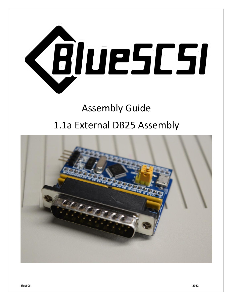

# Assembly Guide 1.1a External DB25 Assembly

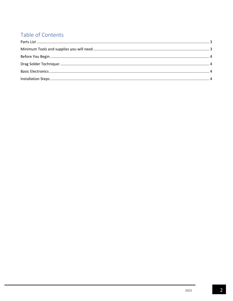## Table of Contents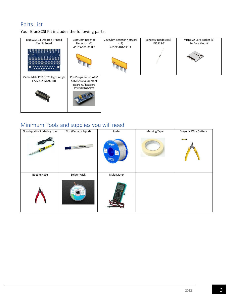## <span id="page-2-0"></span>Parts List

Your BlueSCSI Kit includes the following parts:

| BlueSCSI 1.1 Desktop Printed                        | 330 Ohm Resistor                                                             | 220 Ohm Resistor Network | Schottky Diodes (x2) | Micro SD Card Socket (1) |
|-----------------------------------------------------|------------------------------------------------------------------------------|--------------------------|----------------------|--------------------------|
| Circuit Board                                       | Network (x2)                                                                 | (x2)                     | 1N5818-T             | Surface Mount            |
| <b></b><br><b>BADWDL</b>                            | 4610X-101-331LF                                                              | 4610X-101-221LF          |                      |                          |
| 25-Pin Male PCB DB25 Right Angle<br>L77SDB25S1ACH4R | Pre-Programmed ARM<br>STM32 Development<br>Board w/ headers<br>STM32F103C8T6 |                          |                      |                          |

## <span id="page-2-1"></span>Minimum Tools and supplies you will need

| Good quality Soldering Iron | Flux (Paste or liquid)   | Solder                        | <b>Masking Tape</b> | Diagonal Wire Cutters |
|-----------------------------|--------------------------|-------------------------------|---------------------|-----------------------|
|                             | <b>Lesler Management</b> | <b>Tabiger</b><br>SOLDER WIRE |                     | <b>STANLEY</b>        |
| Needle Nose                 | Solder Wick              | Multi Meter                   |                     |                       |
|                             | <b>ATTENSIBE</b>         |                               |                     |                       |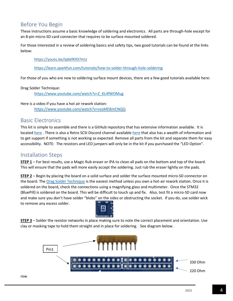### <span id="page-3-0"></span>Before You Begin

These instructions assume a basic knowledge of soldering and electronics. All parts are through-hole except for an 8-pin micro-SD card connecter that requires to be surface mounted soldered.

For those interested in a review of soldering basics and safety tips, two good tutorials can be found at the links below:

#### <https://youtu.be/IpkkfK937mU>

<https://learn.sparkfun.com/tutorials/how-to-solder-through-hole-soldering>

<span id="page-3-1"></span>For those of you who are new to soldering surface mount devices, there are a few good tutorials available here:

Drag Solder Technique:

[https://www.youtube.com/watch?v=Z\\_KL4fWOMug](https://www.youtube.com/watch?v=Z_KL4fWOMug)

Here is a video if you have a hot air rework station: <https://www.youtube.com/watch?v=vzoMEBmCNQQ>

#### <span id="page-3-2"></span>Basic Electronics

This kit is simple to assemble and there is a GitHub repository that has extensive information available. It is locate[d here](https://github.com/erichelgeson/BlueSCSI#assembly) . There is also a Retro SCSI Discord channel available [here](https://discord.gg/kx2Kybx2mk) that also has a wealth of information and to get support if something is not working as expected. Remove all parts from the kit and separate them for easy accessibility. NOTE: The resistors and LED jumpers will only be in the kit if you purchased the "LED Option".

#### <span id="page-3-3"></span>Installation Steps

**STEP 1** – For best results, use a Magic Rub eraser or IPA to clean all pads on the bottom and top of the board. This will ensure that the pads will more easily accept the soldering. Just rub the eraser lightly on the pads.

**STEP 2** – Begin by placing the board on a solid surface and solder the surface mounted micro-SD connector on the board. The [Drag Solder Technique](https://www.youtube.com/watch?v=Z_KL4fWOMug) is the easiest method unless you own a hot-air rework station. Once it is soldered on the board, check the connections using a magnifying glass and multimeter. Once the STM32 (BluePill) is soldered on the board. This will be difficult to touch up and fix. Also, test fit a micro-SD card now and make sure you don't have solder "blobs" on the sides or obstructing the socket. If you do, use solder wick to remove any excess solder.



**STEP 3** – Solder the resistor networks in place making sure to note the correct placement and orientation. Use clay or masking tape to hold them straight and in place for soldering. See diagram below.

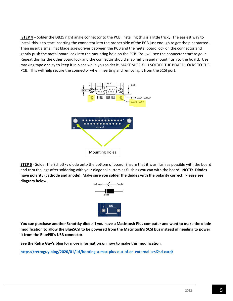**STEP 4** – Solder the DB25 right angle connector to the PCB. Installing this is a little tricky. The easiest way to install this is to start inserting the connector into the proper side of the PCB just enough to get the pins started. Then insert a small flat blade screwdriver between the PCB and the metal board lock on the connector and gently push the metal board lock into the mounting hole on the PCB. You will see the connector start to go in. Repeat this for the other board lock and the connector should snap right in and mount flush to the board. Use masking tape or clay to keep it in place while you solder it. MAKE SURE YOU SOLDER THE BOARD LOCKS TO THE PCB. This will help secure the connector when inserting and removing it from the SCSI port.



**STEP 5** - Solder the Schottky diode onto the bottom of board. Ensure that it is as flush as possible with the board and trim the legs after soldering with your diagonal cutters as flush as you can with the board. **NOTE: Diodes have polarity (cathode and anode). Make sure you solder the diodes with the polarity correct. Please see diagram below.**



**You can purchase another Schottky diode if you have a Macintosh Plus computer and want to make the diode modification to allow the BlueSCSI to be powered from the Macintosh's SCSI bus instead of needing to power it from the BluePill's USB connector.** 

**See the Retro Guy's blog for more information on how to make this modification.** 

**<https://retroguy.blog/2020/01/14/booting-a-mac-plus-out-of-an-external-scsi2sd-card/>**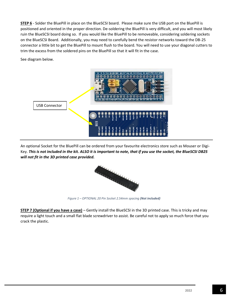**STEP 6** - Solder the BluePill in place on the BlueSCSI board. Please make sure the USB port on the BluePill is positioned and oriented in the proper direction. De-soldering the BluePill is very difficult, and you will most likely ruin the BlueSCSI board doing so. If you would like the BluePill to be removeable, considering soldering sockets on the BlueSCSI Board. Additionally, you may need to carefully bend the resistor networks toward the DB-25 connector a little bit to get the BluePill to mount flush to the board. You will need to use your diagonal cutters to trim the excess from the soldered pins on the BluePill so that it will fit in the case.

See diagram below.



An optional Socket for the BluePill can be ordered from your favourite electronics store such as Mouser or Digi-Key. *This is not included in the kit. ALSO it is important to note, that if you use the socket, the BlueSCSI DB25 will not fit in the 3D printed case provided.* 



*Figure 1 – OPTIONAL 20 Pin Socket 2.54mm spacing (Not included)*

**STEP 7 (Optional if you have a case)** – Gently install the BlueSCSI in the 3D printed case. This is tricky and may require a light touch and a small flat blade screwdriver to assist. Be careful not to apply so much force that you crack the plastic.